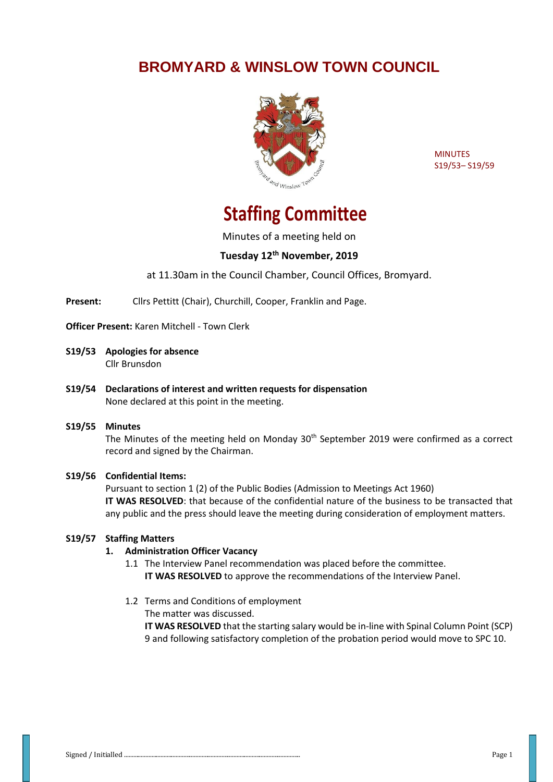## **BROMYARD & WINSLOW TOWN COUNCIL**



**MINUTES** S19/53– S19/59

# **Staffing Committee**

Minutes of a meeting held on

### **Tuesday 12th November, 2019**

at 11.30am in the Council Chamber, Council Offices, Bromyard.

**Present:** Cllrs Pettitt (Chair), Churchill, Cooper, Franklin and Page.

**Officer Present:** Karen Mitchell - Town Clerk

- **S19/53 Apologies for absence** Cllr Brunsdon
- **S19/54 Declarations of interest and written requests for dispensation** None declared at this point in the meeting.

#### **S19/55 Minutes**

The Minutes of the meeting held on Monday  $30<sup>th</sup>$  September 2019 were confirmed as a correct record and signed by the Chairman.

#### **S19/56 Confidential Items:**

Pursuant to section 1 (2) of the Public Bodies (Admission to Meetings Act 1960) **IT WAS RESOLVED**: that because of the confidential nature of the business to be transacted that any public and the press should leave the meeting during consideration of employment matters.

#### **S19/57 Staffing Matters**

#### **1. Administration Officer Vacancy**

1.1 The Interview Panel recommendation was placed before the committee. **IT WAS RESOLVED** to approve the recommendations of the Interview Panel.

1.2 Terms and Conditions of employment

The matter was discussed.

**IT WAS RESOLVED** that the starting salary would be in-line with Spinal Column Point (SCP) 9 and following satisfactory completion of the probation period would move to SPC 10.